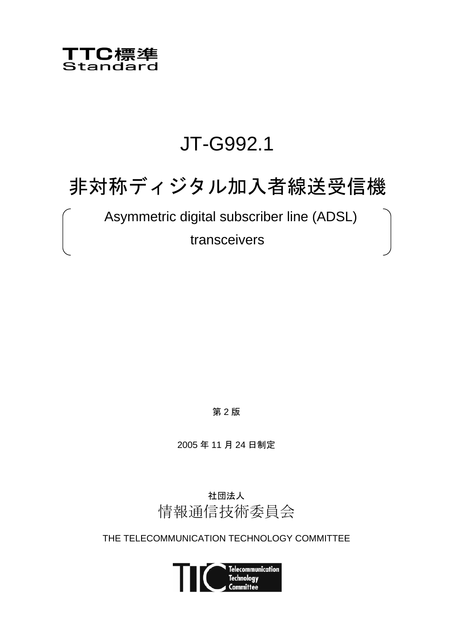

# JT-G992.1

# 非対称ディジタル加入者線送受信機

 Asymmetric digital subscriber line (ADSL) transceivers

第 2 版

2005 年 11 月 24 日制定

社団法人 情報通信技術委員会

THE TELECOMMUNICATION TECHNOLOGY COMMITTEE

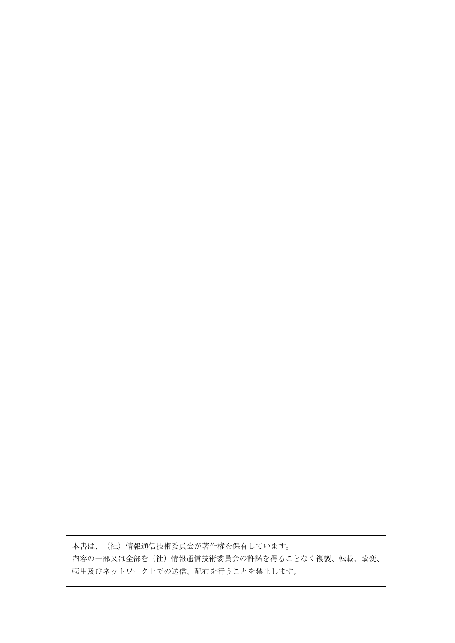本書は、(社)情報通信技術委員会が著作権を保有しています。 内容の一部又は全部を(社)情報通信技術委員会の許諾を得ることなく複製、転載、改変、 転用及びネットワーク上での送信、配布を行うことを禁止します。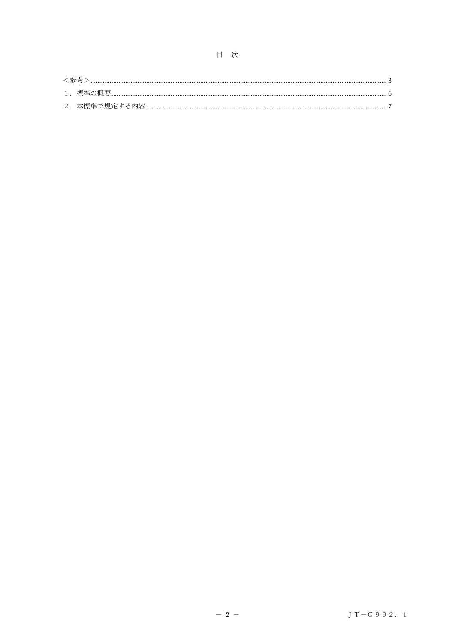| ゑ老> |  |
|-----|--|
|     |  |
|     |  |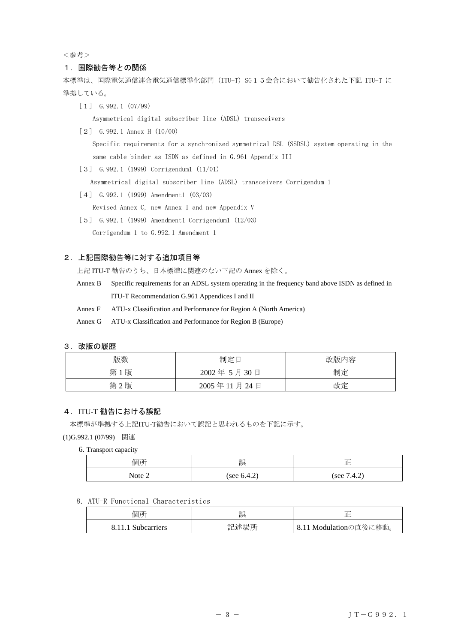<span id="page-3-0"></span><参考>

### 1.国際勧告等との関係

本標準は、国際電気通信連合電気通信標準化部門 (ITU-T) SG 1 5 会合において勧告化された下記 ITU-T に 準拠している。

[1] G. 992. 1 (07/99)

Asymmetrical digital subscriber line (ADSL) transceivers

[2] G.992.1 Annex H (10/00)

Specific requirements for a synchronized symmetrical DSL (SSDSL) system operating in the same cable binder as ISDN as defined in G.961 Appendix III

[3] G.992.1 (1999) Corrigendum1 (11/01)

Asymmetrical digital subscriber line (ADSL) transceivers Corrigendum 1

[4] G.992.1 (1999) Amendment1 (03/03)

Revised Annex C, new Annex I and new Appendix V

[5] G.992.1 (1999) Amendment1 Corrigendum1 (12/03)

Corrigendum 1 to G.992.1 Amendment 1

### 2. 上記国際勧告等に対する追加項目等

上記 ITU-T 勧告のうち、日本標準に関連のない下記の Annex を除く。

- Annex B Specific requirements for an ADSL system operating in the frequency band above ISDN as defined in ITU-T Recommendation G.961 Appendices I and II
- Annex F ATU-x Classification and Performance for Region A (North America)
- Annex G ATU-x Classification and Performance for Region B (Europe)

#### 3. 改版の履歴

| 版数  | 制定日         | 改版内容 |
|-----|-------------|------|
| 第1版 | 2002年5月30日  | 制定   |
| 第2版 | 2005年11月24日 | 改定   |

### 4.ITU-T 勧告における誤記

本標準が準拠する上記ITU-T勧告において誤記と思われるものを下記に示す。

#### (1)G.992.1 (07/99) 関連

#### 6. Transport capacity

| 個所            | 誤              |                |
|---------------|----------------|----------------|
| Note $\angle$ | (see $6.4.2$ ) | 7.4.2)<br>(see |

#### 8. ATU-R Functional Characteristics

| 個所                 | 誤    |                         |
|--------------------|------|-------------------------|
| 8.11.1 Subcarriers | 記述場所 | 18.11 Modulationの直後に移動。 |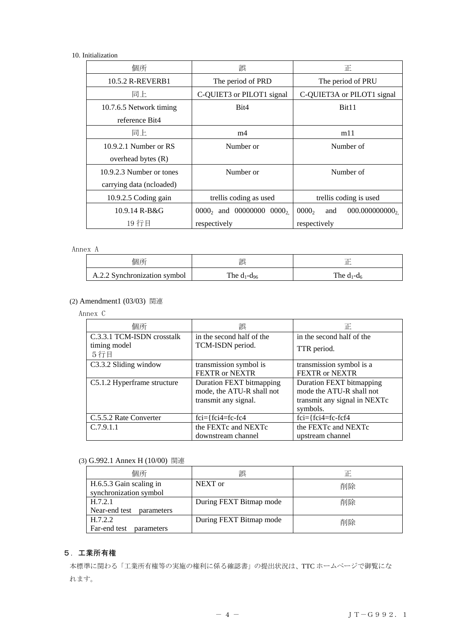## 10. Initialization

| 個所                       | 誤                                           | 正                             |
|--------------------------|---------------------------------------------|-------------------------------|
| 10.5.2 R-REVERB1         | The period of PRD                           | The period of PRU             |
| 同上                       | C-QUIET3 or PILOT1 signal                   | C-QUIET3A or PILOT1 signal    |
| 10.7.6.5 Network timing  | Bit4                                        | Bit11                         |
| reference Bit4           |                                             |                               |
| 同上                       | m4                                          | m11                           |
| $10.9.2.1$ Number or RS  | Number or                                   | Number of                     |
| overhead bytes (R)       |                                             |                               |
| 10.9.2.3 Number or tones | Number or                                   | Number of                     |
| carrying data (ncloaded) |                                             |                               |
| 10.9.2.5 Coding gain     | trellis coding as used                      | trellis coding is used        |
| 10.9.14 R-B&G            | $0000$ <sub>2</sub> and $00000000$<br>0000, | 0000,<br>000.000000000<br>and |
| 19行目                     | respectively                                | respectively                  |

## Annex A

| 個所                           | 誤                |               |
|------------------------------|------------------|---------------|
| A.2.2 Synchronization symbol | The $d_1-d_{96}$ | The $d_1-d_6$ |

# (2) Amendment1 (03/03) 関連

Annex C

| 個所                                                | 誤                                                                             | TE.                                                                                              |
|---------------------------------------------------|-------------------------------------------------------------------------------|--------------------------------------------------------------------------------------------------|
| C.3.3.1 TCM-ISDN crosstalk<br>timing model<br>5行目 | in the second half of the<br>TCM-ISDN period.                                 | in the second half of the<br>TTR period.                                                         |
| C3.3.2 Sliding window                             | transmission symbol is<br><b>FEXTR or NEXTR</b>                               | transmission symbol is a<br>FEXTR or NEXTR                                                       |
| C5.1.2 Hyperframe structure                       | Duration FEXT bitmapping<br>mode, the ATU-R shall not<br>transmit any signal. | Duration FEXT bitmapping<br>mode the ATU-R shall not<br>transmit any signal in NEXTc<br>symbols. |
| C.5.5.2 Rate Converter                            | $fci = {fci4 = fc-fc4}$                                                       | $fci = {fci4 = fc-fcf4}$                                                                         |
| C.7.9.1.1                                         | the FEXTc and NEXTc<br>downstream channel                                     | the FEXTc and NEXTc<br>upstream channel                                                          |

## (3) G.992.1 Annex H (10/00) 関連

| 個所                                                | 誤                       | ΙE |
|---------------------------------------------------|-------------------------|----|
| H.6.5.3 Gain scaling in<br>synchronization symbol | NEXT or                 | 削除 |
| H.7.2.1                                           | During FEXT Bitmap mode | 削除 |
| Near-end test<br>parameters                       |                         |    |
| H.7.2.2                                           | During FEXT Bitmap mode | 削除 |
| Far-end test<br>parameters                        |                         |    |

# 5.工業所有権

本標準に関わる「工業所有権等の実施の権利に係る確認書」の提出状況は、TTC ホームページで御覧にな れます。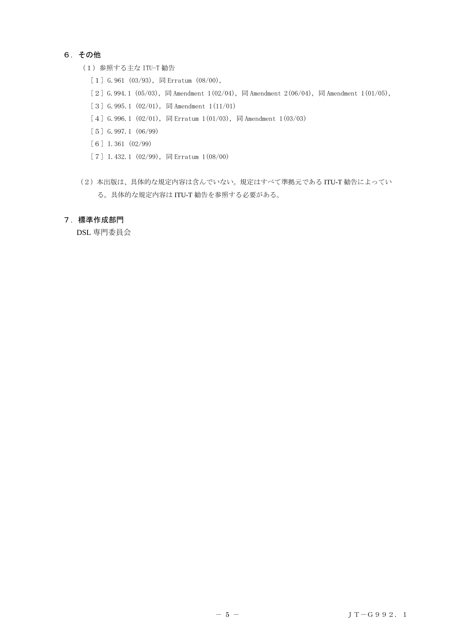# 6.その他

- (1)参照する主な ITU-T 勧告
	- [1] G.961  $(03/93)$ , 同 Erratum  $(08/00)$ ,
	- [2] G.994.1 (05/03), 同 Amendment 1(02/04), 同 Amendment 2(06/04), 同 Amendment 1(01/05),
	- [3] G.995.1  $(02/01)$ , 同 Amendment  $1(11/01)$
	- $[4]$  G.996.1 (02/01), 同 Erratum 1(01/03), 同 Amendment 1(03/03)
	- [5] G. 997. 1 (06/99)
	- [6] I.361 (02/99)
	- $[7]$  I.432.1 (02/99), 同 Erratum 1(08/00)
- (2)本出版は、具体的な規定内容は含んでいない。規定はすべて準拠元である ITU-T 勧告によってい る。具体的な規定内容は ITU-T 勧告を参照する必要がある。

## 7.標準作成部門

DSL 専門委員会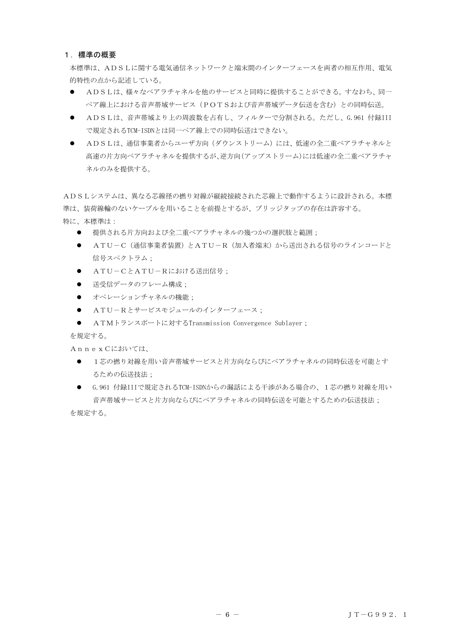#### <span id="page-6-0"></span>1.標準の概要

本標準は、ADSLに関する電気通信ネットワークと端末間のインターフェースを両者の相互作用、電気 的特性の点から記述している。

- ADSLは、様々なベアラチャネルを他のサービスと同時に提供することができる。すなわち、同一 ペア線上における音声帯域サービス(POTSおよび音声帯域データ伝送を含む)との同時伝送。
- z ADSLは、音声帯域より上の周波数を占有し、フィルターで分割される。ただし、G.961 付録III で規定されるTCM-ISDNとは同一ペア線上での同時伝送はできない。
- ADSLは、通信事業者からユーザ方向(ダウンストリーム)には、低速の全二重ベアラチャネルと 高速の片方向ベアラチャネルを提供するが、逆方向(アップストリーム)には低速の全二重ベアラチャ ネルのみを提供する。

ADSLシステムは、異なる芯線径の撚り対線が縦続接続された芯線上で動作するように設計される。本標 準は、装荷線輪のないケーブルを用いることを前提とするが、ブリッジタップの存在は許容する。

特に、本標準は:

- 提供される片方向および全二重ベアラチャネルの幾つかの選択肢と範囲;
- ATU-C (通信事業者装置)とATU-R (加入者端末)から送出される信号のラインコードと 信号スペクトラム;
- ATU-CとATU-Rにおける送出信号;
- 送受信データのフレーム構成;
- オペレーションチャネルの機能;
- ATU-Rとサービスモジュールのインターフェース;
- ATMトランスポートに対するTransmission Convergence Sublayer;

を規定する。

AnnexCにおいては、

- 1芯の撚り対線を用い音声帯域サービスと片方向ならびにベアラチャネルの同時伝送を可能とす るための伝送技法;
- G.961 付録IIIで規定されるTCM-ISDNからの漏話による干渉がある場合の、1芯の撚り対線を用い 音声帯域サービスと片方向ならびにベアラチャネルの同時伝送を可能とするための伝送技法;

を規定する。